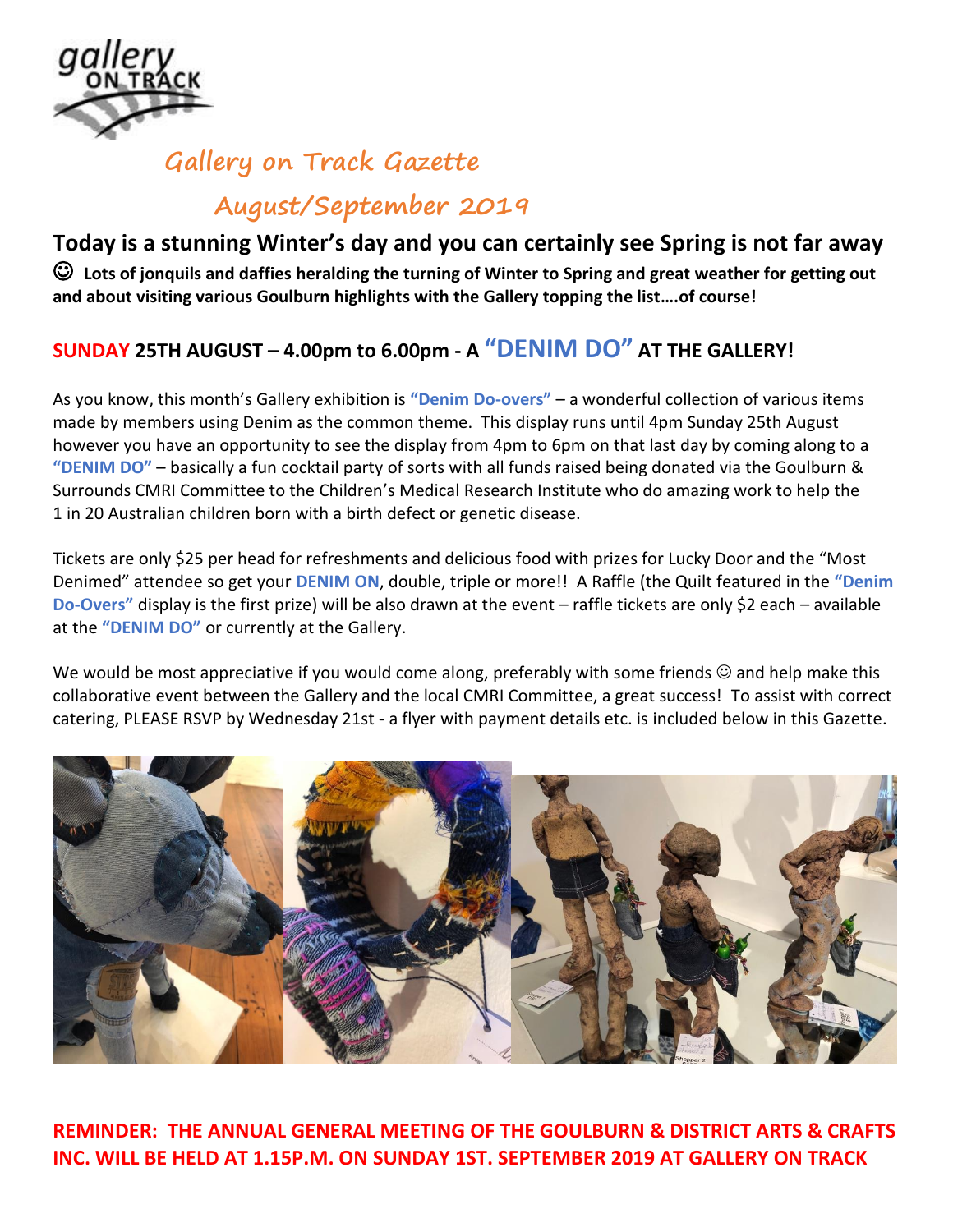

# **Gallery on Track Gazette August/September 2019**

## **Today is a stunning Winter's day and you can certainly see Spring is not far away**

☺ **Lots of jonquils and daffies heralding the turning of Winter to Spring and great weather for getting out and about visiting various Goulburn highlights with the Gallery topping the list….of course!** 

# **SUNDAY 25TH AUGUST – 4.00pm to 6.00pm - A "DENIM DO" AT THE GALLERY!**

As you know, this month's Gallery exhibition is **"Denim Do-overs"** – a wonderful collection of various items made by members using Denim as the common theme. This display runs until 4pm Sunday 25th August however you have an opportunity to see the display from 4pm to 6pm on that last day by coming along to a **"DENIM DO"** – basically a fun cocktail party of sorts with all funds raised being donated via the Goulburn & Surrounds CMRI Committee to the Children's Medical Research Institute who do amazing work to help the 1 in 20 Australian children born with a birth defect or genetic disease.

Tickets are only \$25 per head for refreshments and delicious food with prizes for Lucky Door and the "Most Denimed" attendee so get your **DENIM ON**, double, triple or more!! A Raffle (the Quilt featured in the **"Denim Do-Overs"** display is the first prize) will be also drawn at the event – raffle tickets are only \$2 each – available at the **"DENIM DO"** or currently at the Gallery.

We would be most appreciative if you would come along, preferably with some friends  $\odot$  and help make this collaborative event between the Gallery and the local CMRI Committee, a great success! To assist with correct catering, PLEASE RSVP by Wednesday 21st - a flyer with payment details etc. is included below in this Gazette.



**REMINDER: THE ANNUAL GENERAL MEETING OF THE GOULBURN & DISTRICT ARTS & CRAFTS INC. WILL BE HELD AT 1.15P.M. ON SUNDAY 1ST. SEPTEMBER 2019 AT GALLERY ON TRACK**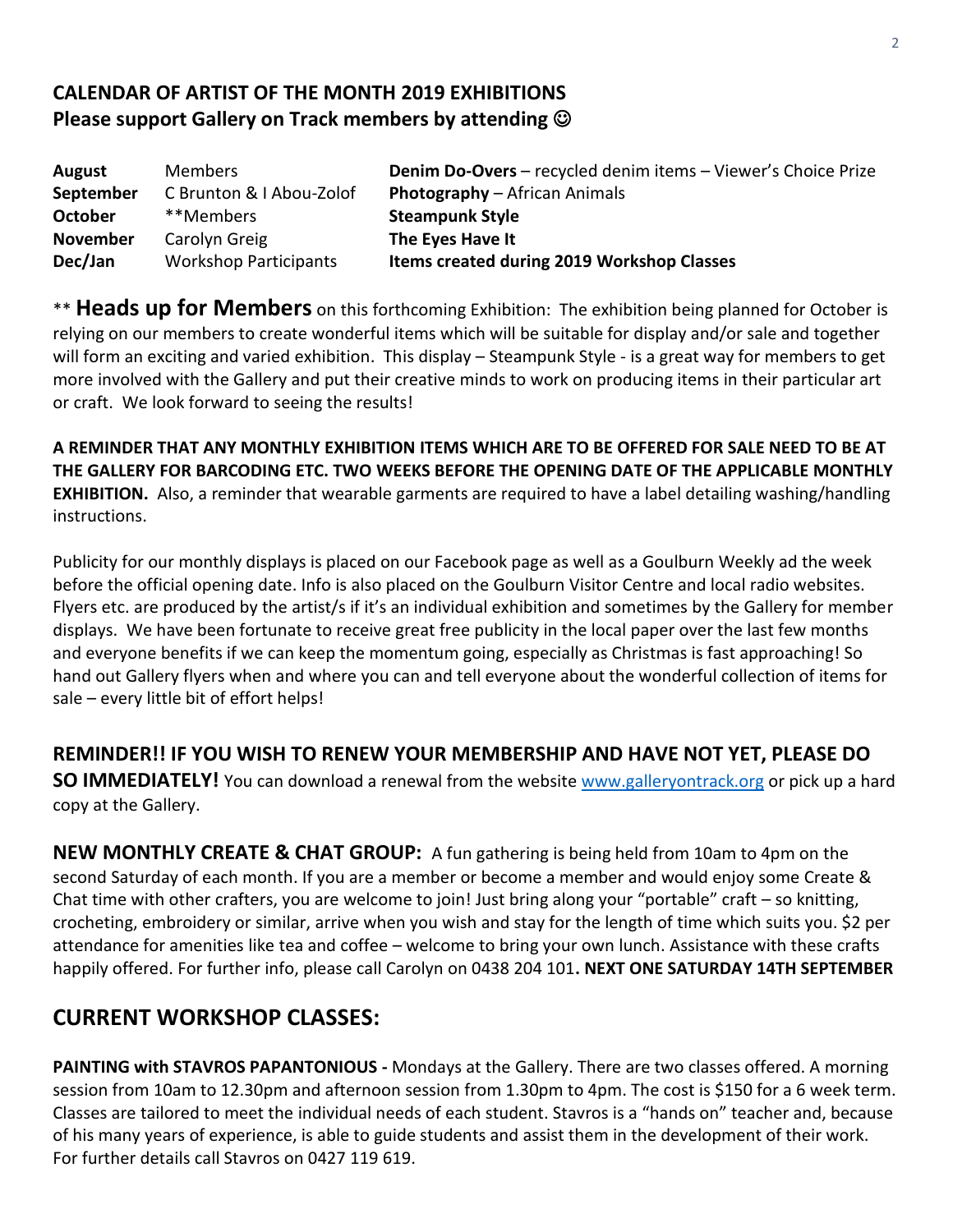#### **CALENDAR OF ARTIST OF THE MONTH 2019 EXHIBITIONS Please support Gallery on Track members by attending** ☺

| August          | <b>Members</b>               | Denim Do-Overs - recycled denim items - Viewer's Choice Prize |
|-----------------|------------------------------|---------------------------------------------------------------|
| September       | C Brunton & I Abou-Zolof     | <b>Photography</b> – African Animals                          |
| <b>October</b>  | **Members                    | <b>Steampunk Style</b>                                        |
| <b>November</b> | Carolyn Greig                | The Eyes Have It                                              |
| Dec/Jan         | <b>Workshop Participants</b> | Items created during 2019 Workshop Classes                    |

\*\* **Heads up for Members** on this forthcoming Exhibition: The exhibition being planned for October is relying on our members to create wonderful items which will be suitable for display and/or sale and together will form an exciting and varied exhibition. This display – Steampunk Style - is a great way for members to get more involved with the Gallery and put their creative minds to work on producing items in their particular art or craft. We look forward to seeing the results!

**A REMINDER THAT ANY MONTHLY EXHIBITION ITEMS WHICH ARE TO BE OFFERED FOR SALE NEED TO BE AT THE GALLERY FOR BARCODING ETC. TWO WEEKS BEFORE THE OPENING DATE OF THE APPLICABLE MONTHLY EXHIBITION.** Also, a reminder that wearable garments are required to have a label detailing washing/handling instructions.

Publicity for our monthly displays is placed on our Facebook page as well as a Goulburn Weekly ad the week before the official opening date. Info is also placed on the Goulburn Visitor Centre and local radio websites. Flyers etc. are produced by the artist/s if it's an individual exhibition and sometimes by the Gallery for member displays. We have been fortunate to receive great free publicity in the local paper over the last few months and everyone benefits if we can keep the momentum going, especially as Christmas is fast approaching! So hand out Gallery flyers when and where you can and tell everyone about the wonderful collection of items for sale – every little bit of effort helps!

#### **REMINDER!! IF YOU WISH TO RENEW YOUR MEMBERSHIP AND HAVE NOT YET, PLEASE DO**

**SO IMMEDIATELY!** You can download a renewal from the website [www.galleryontrack.org](http://www.galleryontrack.org/) or pick up a hard copy at the Gallery.

**NEW MONTHLY CREATE & CHAT GROUP:** A fun gathering is being held from 10am to 4pm on the second Saturday of each month. If you are a member or become a member and would enjoy some Create & Chat time with other crafters, you are welcome to join! Just bring along your "portable" craft – so knitting, crocheting, embroidery or similar, arrive when you wish and stay for the length of time which suits you. \$2 per attendance for amenities like tea and coffee – welcome to bring your own lunch. Assistance with these crafts happily offered. For further info, please call Carolyn on 0438 204 101**. NEXT ONE SATURDAY 14TH SEPTEMBER**

## **CURRENT WORKSHOP CLASSES:**

**PAINTING with STAVROS PAPANTONIOUS -** Mondays at the Gallery. There are two classes offered. A morning session from 10am to 12.30pm and afternoon session from 1.30pm to 4pm. The cost is \$150 for a 6 week term. Classes are tailored to meet the individual needs of each student. Stavros is a "hands on" teacher and, because of his many years of experience, is able to guide students and assist them in the development of their work. For further details call Stavros on 0427 119 619.